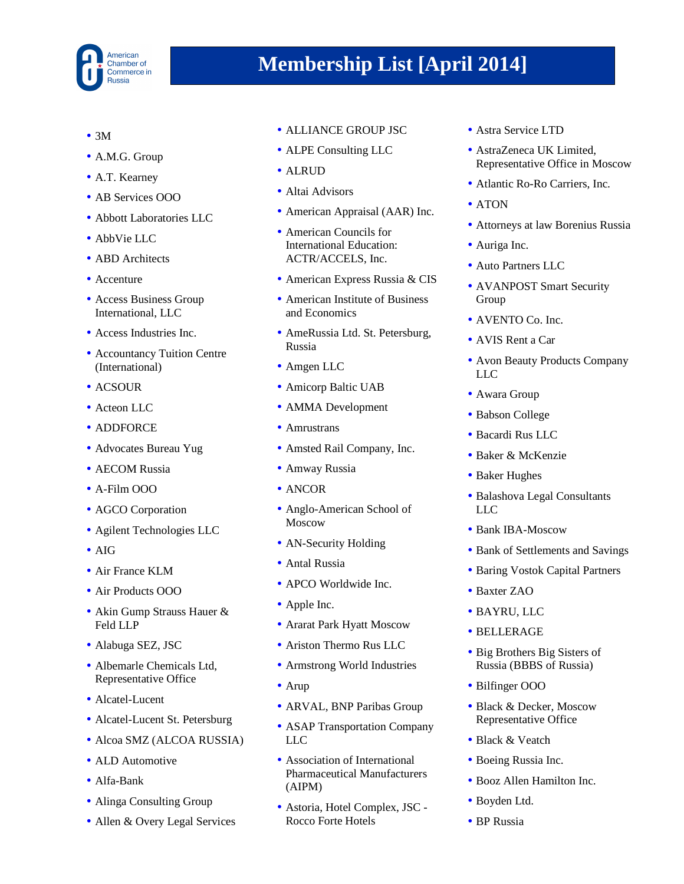

- $3M$
- A.M.G. Group
- A.T. Kearney
- AB Services OOO
- Abbott Laboratories LLC
- AbbVie LLC
- ABD Architects
- Accenture
- Access Business Group International, LLC
- Access Industries Inc.
- Accountancy Tuition Centre (International)
- ACSOUR
- Acteon LLC
- ADDFORCE
- Advocates Bureau Yug
- AECOM Russia
- A-Film OOO
- AGCO Corporation
- Agilent Technologies LLC
- AIG
- Air France KLM
- Air Products OOO
- Akin Gump Strauss Hauer & Feld LLP
- Alabuga SEZ, JSC
- Albemarle Chemicals Ltd, Representative Office
- Alcatel-Lucent
- Alcatel-Lucent St. Petersburg
- Alcoa SMZ (ALCOA RUSSIA)
- ALD Automotive
- Alfa-Bank
- Alinga Consulting Group
- Allen & Overy Legal Services
- ALLIANCE GROUP JSC
- ALPE Consulting LLC
- ALRUD
- Altai Advisors
- American Appraisal (AAR) Inc.
- American Councils for International Education: ACTR/ACCELS, Inc.
- American Express Russia & CIS
- American Institute of Business and Economics
- AmeRussia Ltd. St. Petersburg, Russia
- Amgen LLC
- Amicorp Baltic UAB
- AMMA Development
- Amrustrans
- Amsted Rail Company, Inc.
- Amway Russia
- ANCOR
- Anglo-American School of Moscow
- AN-Security Holding
- Antal Russia
- APCO Worldwide Inc.
- Apple Inc.
- Ararat Park Hyatt Moscow
- Ariston Thermo Rus LLC
- Armstrong World Industries
- Arup
- ARVAL, BNP Paribas Group
- ASAP Transportation Company LLC
- Association of International Pharmaceutical Manufacturers (AIPM)
- Astoria, Hotel Complex, JSC Rocco Forte Hotels
- Astra Service LTD
- AstraZeneca UK Limited. Representative Office in Moscow
- Atlantic Ro-Ro Carriers, Inc.
- ATON
- Attorneys at law Borenius Russia
- Auriga Inc.
- Auto Partners LLC
- AVANPOST Smart Security Group
- AVENTO Co. Inc.
- AVIS Rent a Car
- Avon Beauty Products Company LLC
- Awara Group
- Babson College
- Bacardi Rus LLC
- Baker & McKenzie
- Baker Hughes
- Balashova Legal Consultants LLC
- Bank IBA-Moscow
- Bank of Settlements and Savings
- Baring Vostok Capital Partners
- Baxter ZAO
- BAYRU, LLC
- BELLERAGE
- Big Brothers Big Sisters of Russia (BBBS of Russia)
- Bilfinger OOO
- Black & Decker, Moscow Representative Office
- Black & Veatch
- Boeing Russia Inc.
- Booz Allen Hamilton Inc.
- Boyden Ltd.
- BP Russia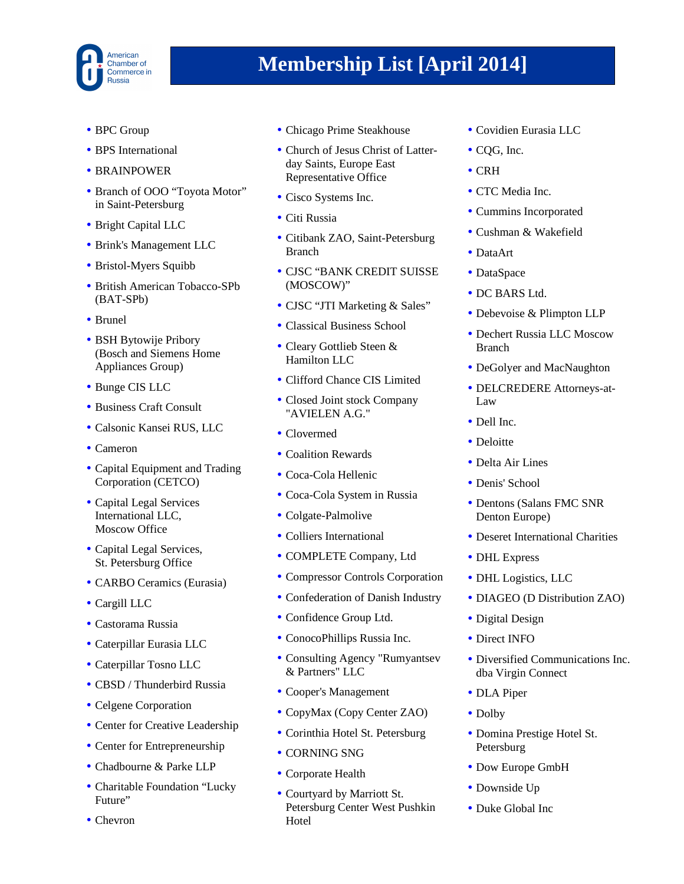

- BPC Group
- BPS International
- BRAINPOWER
- Branch of OOO "Toyota Motor" in Saint-Petersburg
- Bright Capital LLC
- Brink's Management LLC
- Bristol-Myers Squibb
- British American Tobacco-SPb (BAT-SPb)
- Brunel
- BSH Bytowije Pribory (Bosch and Siemens Home Appliances Group)
- Bunge CIS LLC
- Business Craft Consult
- Calsonic Kansei RUS, LLC
- Cameron
- Capital Equipment and Trading Corporation (CETCO)
- Capital Legal Services International LLC, Moscow Office
- Capital Legal Services, St. Petersburg Office
- CARBO Ceramics (Eurasia)
- Cargill LLC
- Castorama Russia
- Caterpillar Eurasia LLC
- Caterpillar Tosno LLC
- CBSD / Thunderbird Russia
- Celgene Corporation
- Center for Creative Leadership
- Center for Entrepreneurship
- Chadbourne & Parke LLP
- Charitable Foundation "Lucky Future"
- Chevron
- Chicago Prime Steakhouse
- Church of Jesus Christ of Latterday Saints, Europe East Representative Office
- Cisco Systems Inc.
- Citi Russia
- Citibank ZAO, Saint-Petersburg Branch
- CJSC "BANK CREDIT SUISSE (MOSCOW)"
- CJSC "JTI Marketing & Sales"
- Classical Business School
- Cleary Gottlieb Steen & Hamilton LLC
- Clifford Chance CIS Limited
- Closed Joint stock Company "AVIELEN A.G."
- Clovermed
- Coalition Rewards
- Coca-Cola Hellenic
- Coca-Cola System in Russia
- Colgate-Palmolive
- Colliers International
- COMPLETE Company, Ltd
- Compressor Controls Corporation
- Confederation of Danish Industry
- Confidence Group Ltd.
- ConocoPhillips Russia Inc.
- Consulting Agency "Rumyantsev & Partners" LLC
- Cooper's Management
- CopyMax (Copy Center ZAO)
- Corinthia Hotel St. Petersburg
- CORNING SNG
- Corporate Health
- Courtyard by Marriott St. Petersburg Center West Pushkin **Hotel**
- Covidien Eurasia LLC
- COG, Inc.
- CRH
- CTC Media Inc.
- Cummins Incorporated
- Cushman & Wakefield
- DataArt
- DataSpace
- DC BARS Ltd.
- Debevoise & Plimpton LLP
- Dechert Russia LLC Moscow Branch
- DeGolyer and MacNaughton
- DELCREDERE Attorneys-at-Law
- Dell Inc.
- Deloitte
- Delta Air Lines
- Denis' School
- Dentons (Salans FMC SNR Denton Europe)
- Deseret International Charities
- DHL Express
- DHL Logistics, LLC
- DIAGEO (D Distribution ZAO)
- Digital Design
- Direct INFO
- Diversified Communications Inc. dba Virgin Connect
- DLA Piper
- Dolby
- Domina Prestige Hotel St. Petersburg
- Dow Europe GmbH
- Downside Up
- Duke Global Inc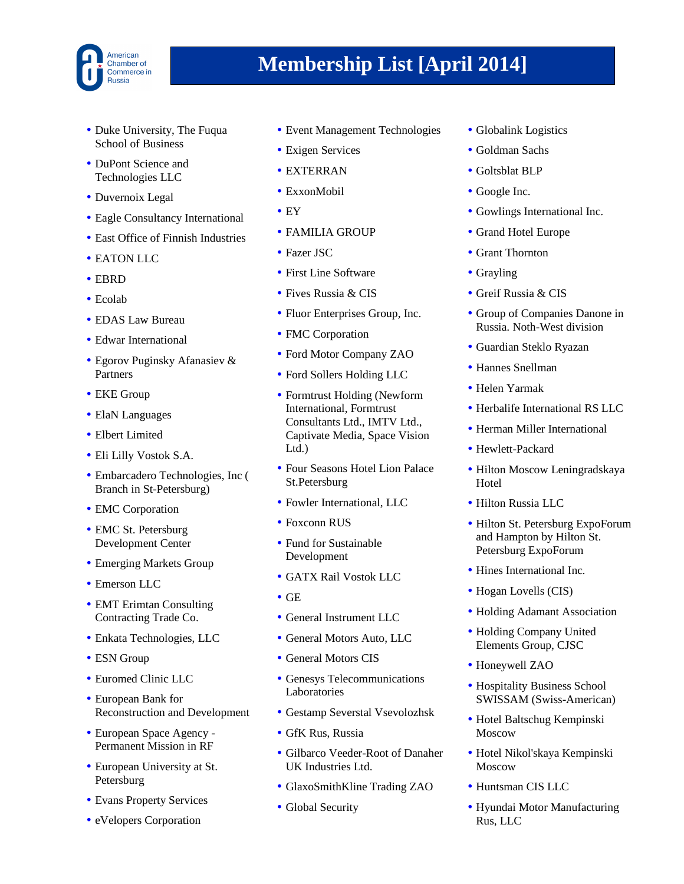

- Duke University, The Fuqua School of Business
- DuPont Science and Technologies LLC
- Duvernoix Legal
- Eagle Consultancy International
- East Office of Finnish Industries
- EATON LLC
- EBRD
- Ecolab
- EDAS Law Bureau
- Edwar International
- Egorov Puginsky Afanasiev & Partners
- EKE Group
- ElaN Languages
- Elbert Limited
- Eli Lilly Vostok S.A.
- Embarcadero Technologies, Inc ( Branch in St-Petersburg)
- EMC Corporation
- EMC St. Petersburg Development Center
- Emerging Markets Group
- Emerson LLC
- EMT Erimtan Consulting Contracting Trade Co.
- Enkata Technologies, LLC
- ESN Group
- Euromed Clinic LLC
- European Bank for Reconstruction and Development
- European Space Agency Permanent Mission in RF
- European University at St. Petersburg
- Evans Property Services
- eVelopers Corporation
- Event Management Technologies
- Exigen Services
- EXTERRAN
- ExxonMobil
- $\bullet$  EY
- FAMILIA GROUP
- Fazer JSC
- First Line Software
- Fives Russia & CIS
- Fluor Enterprises Group, Inc.
- FMC Corporation
- Ford Motor Company ZAO
- Ford Sollers Holding LLC
- Formtrust Holding (Newform International, Formtrust Consultants Ltd., IMTV Ltd., Captivate Media, Space Vision Ltd.)
- Four Seasons Hotel Lion Palace St.Petersburg
- Fowler International, LLC
- Foxconn RUS
- Fund for Sustainable Development
- GATX Rail Vostok LLC
- GE
- General Instrument LLC
- General Motors Auto, LLC
- General Motors CIS
- Genesys Telecommunications Laboratories
- Gestamp Severstal Vsevolozhsk
- GfK Rus, Russia
- Gilbarco Veeder-Root of Danaher UK Industries Ltd.
- GlaxoSmithKline Trading ZAO
- Global Security
- Globalink Logistics
- Goldman Sachs
- Goltsblat BLP
- Google Inc.
- Gowlings International Inc.
- Grand Hotel Europe
- Grant Thornton
- Grayling
- Greif Russia & CIS
- Group of Companies Danone in Russia. Noth-West division
- Guardian Steklo Ryazan
- Hannes Snellman
- Helen Yarmak
- Herbalife International RS LLC
- Herman Miller International
- Hewlett-Packard
- Hilton Moscow Leningradskaya Hotel
- Hilton Russia LLC
- Hilton St. Petersburg ExpoForum and Hampton by Hilton St. Petersburg ExpoForum
- Hines International Inc.
- Hogan Lovells (CIS)
- Holding Adamant Association
- Holding Company United Elements Group, CJSC
- Honeywell ZAO
- Hospitality Business School SWISSAM (Swiss-American)
- Hotel Baltschug Kempinski Moscow
- Hotel Nikol'skaya Kempinski Moscow
- Huntsman CIS LLC
- Hyundai Motor Manufacturing Rus, LLC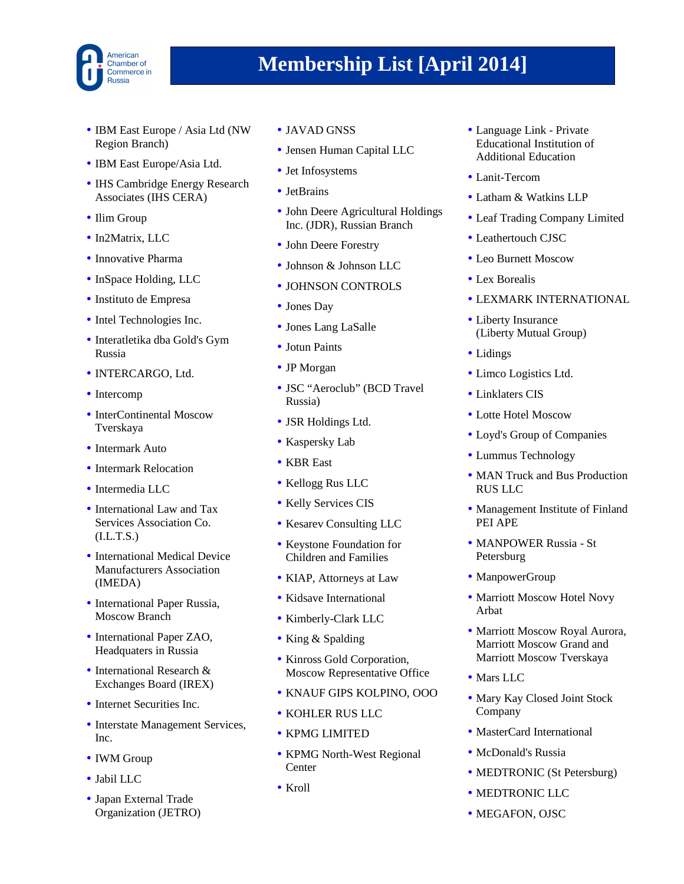

- IBM East Europe / Asia Ltd (NW) Region Branch)
- IBM East Europe/Asia Ltd.
- IHS Cambridge Energy Research Associates (IHS CERA)
- Ilim Group
- In2Matrix, LLC
- Innovative Pharma
- InSpace Holding, LLC
- Instituto de Empresa
- Intel Technologies Inc.
- Interatletika dba Gold's Gym Russia
- INTERCARGO, Ltd.
- Intercomp
- InterContinental Moscow Tverskaya
- Intermark Auto
- Intermark Relocation
- Intermedia LLC
- International Law and Tax Services Association Co.  $(I.L.T.S.)$
- International Medical Device Manufacturers Association (IMEDA)
- International Paper Russia, Moscow Branch
- International Paper ZAO, Headquaters in Russia
- International Research & Exchanges Board (IREX)
- Internet Securities Inc.
- Interstate Management Services, Inc.
- IWM Group
- Jabil LLC
- Japan External Trade Organization (JETRO)
- JAVAD GNSS
- Jensen Human Capital LLC
- Jet Infosystems
- JetBrains
- John Deere Agricultural Holdings Inc. (JDR), Russian Branch
- John Deere Forestry
- Johnson & Johnson LLC
- JOHNSON CONTROLS
- Jones Day
- Jones Lang LaSalle
- Jotun Paints
- JP Morgan
- JSC "Aeroclub" (BCD Travel Russia)
- JSR Holdings Ltd.
- Kaspersky Lab
- KBR East
- Kellogg Rus LLC
- Kelly Services CIS
- Kesarev Consulting LLC
- Keystone Foundation for Children and Families
- KIAP, Attorneys at Law
- Kidsave International
- Kimberly-Clark LLC
- King & Spalding
- Kinross Gold Corporation, Moscow Representative Office
- KNAUF GIPS KOLPINO, OOO
- KOHLER RUS LLC
- KPMG LIMITED
- KPMG North-West Regional **Center**
- Kroll
- Language Link Private Educational Institution of Additional Education
- Lanit-Tercom
- Latham & Watkins LLP
- Leaf Trading Company Limited
- Leathertouch CJSC
- Leo Burnett Moscow
- Lex Borealis
- LEXMARK INTERNATIONAL
- Liberty Insurance (Liberty Mutual Group)
- Lidings
- Limco Logistics Ltd.
- Linklaters CIS
- Lotte Hotel Moscow
- Loyd's Group of Companies
- Lummus Technology
- MAN Truck and Bus Production RUS LLC
- Management Institute of Finland PEI APE
- MANPOWER Russia St Petersburg
- ManpowerGroup
- Marriott Moscow Hotel Novy Arbat
- Marriott Moscow Royal Aurora, Marriott Moscow Grand and Marriott Moscow Tverskaya
- Mars LLC
- Mary Kay Closed Joint Stock Company
- MasterCard International
- McDonald's Russia
- MEDTRONIC (St Petersburg)
- MEDTRONIC LLC
- MEGAFON, OJSC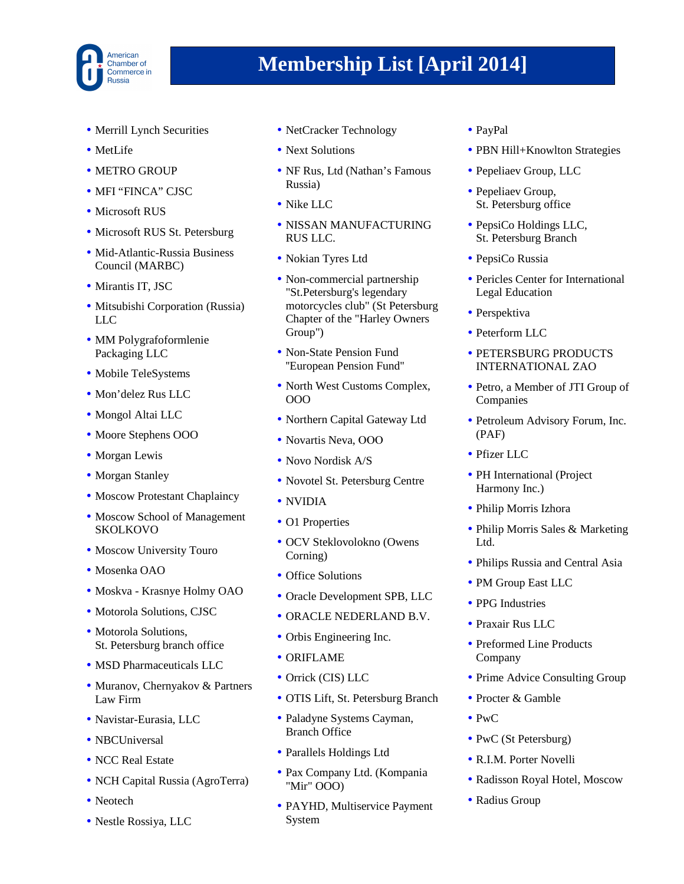

- Merrill Lynch Securities
- MetLife
- METRO GROUP
- MFI "FINCA" CJSC
- Microsoft RUS
- Microsoft RUS St. Petersburg
- Mid-Atlantic-Russia Business Council (MARBC)
- Mirantis IT, JSC
- Mitsubishi Corporation (Russia) LLC
- MM Polygrafoformlenie Packaging LLC
- Mobile TeleSystems
- Mon'delez Rus LLC
- Mongol Altai LLC
- Moore Stephens OOO
- Morgan Lewis
- Morgan Stanley
- Moscow Protestant Chaplaincy
- Moscow School of Management SKOLKOVO
- Moscow University Touro
- Mosenka OAO
- Moskva Krasnye Holmy OAO
- Motorola Solutions, CJSC
- Motorola Solutions, St. Petersburg branch office
- MSD Pharmaceuticals LLC
- Muranov, Chernyakov & Partners Law Firm
- Navistar-Eurasia, LLC
- NBCUniversal
- NCC Real Estate
- NCH Capital Russia (AgroTerra)
- Neotech
- Nestle Rossiya, LLC
- NetCracker Technology
- Next Solutions
- NF Rus, Ltd (Nathan's Famous Russia)
- Nike LLC
- NISSAN MANUFACTURING RUS LLC.
- Nokian Tyres Ltd
- Non-commercial partnership "St.Petersburg's legendary motorcycles club" (St Petersburg Chapter of the "Harley Owners Group")
- Non-State Pension Fund ''European Pension Fund''
- North West Customs Complex, OOO
- Northern Capital Gateway Ltd
- Novartis Neva, OOO
- Novo Nordisk A/S
- Novotel St. Petersburg Centre
- NVIDIA
- O1 Properties
- OCV Steklovolokno (Owens Corning)
- Office Solutions
- Oracle Development SPB, LLC
- ORACLE NEDERLAND B.V.
- Orbis Engineering Inc.
- ORIFLAME
- Orrick (CIS) LLC
- OTIS Lift, St. Petersburg Branch
- Paladyne Systems Cayman, Branch Office
- Parallels Holdings Ltd
- Pax Company Ltd. (Kompania "Mir" OOO)
- PAYHD, Multiservice Payment System
- PayPal
- PBN Hill+Knowlton Strategies
- Pepeliaev Group, LLC
- Pepeliaev Group, St. Petersburg office
- PepsiCo Holdings LLC, St. Petersburg Branch
- PepsiCo Russia
- Pericles Center for International Legal Education
- Perspektiva
- Peterform LLC
- PETERSBURG PRODUCTS INTERNATIONAL ZAO
- Petro, a Member of JTI Group of Companies
- Petroleum Advisory Forum, Inc. (PAF)
- Pfizer LLC
- PH International (Project Harmony Inc.)
- Philip Morris Izhora
- Philip Morris Sales & Marketing Ltd.
- Philips Russia and Central Asia
- PM Group East LLC
- PPG Industries
- Praxair Rus LLC
- Preformed Line Products Company
- Prime Advice Consulting Group
- Procter & Gamble
- PwC
- PwC (St Petersburg)
- R.I.M. Porter Novelli
- Radisson Royal Hotel, Moscow
- Radius Group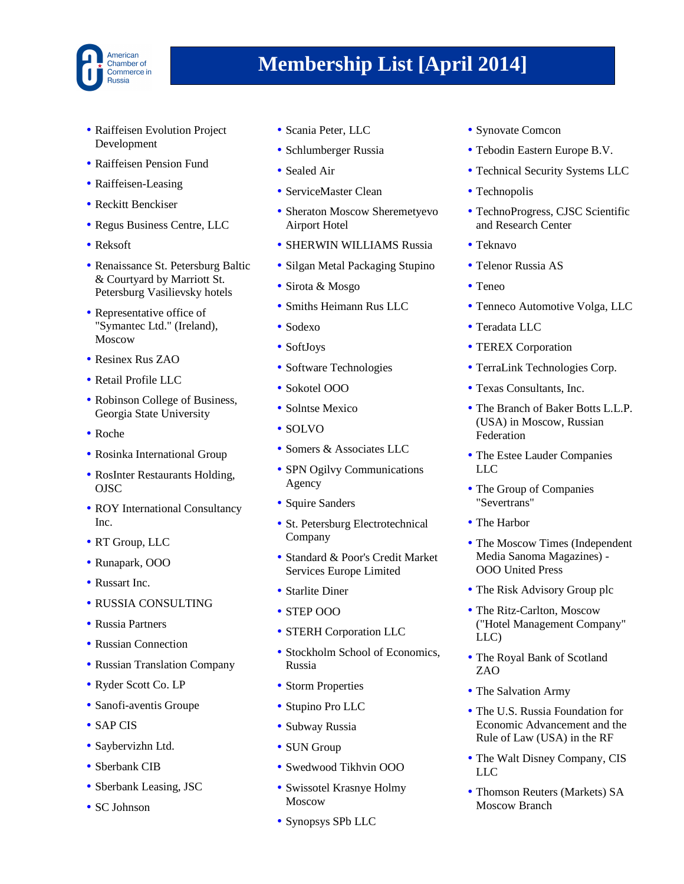

- Raiffeisen Evolution Project Development
- Raiffeisen Pension Fund
- Raiffeisen-Leasing
- Reckitt Benckiser
- Regus Business Centre, LLC
- Reksoft
- Renaissance St. Petersburg Baltic & Courtyard by Marriott St. Petersburg Vasilievsky hotels
- Representative office of "Symantec Ltd." (Ireland), Moscow
- Resinex Rus ZAO
- Retail Profile LLC
- Robinson College of Business, Georgia State University
- Roche
- Rosinka International Group
- RosInter Restaurants Holding, OJSC
- ROY International Consultancy Inc.
- RT Group, LLC
- Runapark, OOO
- Russart Inc.
- RUSSIA CONSULTING
- Russia Partners
- Russian Connection
- Russian Translation Company
- Ryder Scott Co. LP
- Sanofi-aventis Groupe
- SAP CIS
- Saybervizhn Ltd.
- Sberbank CIB
- Sberbank Leasing, JSC
- SC Johnson
- Scania Peter, LLC
- Schlumberger Russia
- Sealed Air
- ServiceMaster Clean
- Sheraton Moscow Sheremetyevo Airport Hotel
- SHERWIN WILLIAMS Russia
- Silgan Metal Packaging Stupino
- Sirota & Mosgo
- Smiths Heimann Rus LLC
- Sodexo
- SoftJoys
- Software Technologies
- Sokotel OOO
- Solntse Mexico
- SOLVO
- Somers & Associates LLC
- SPN Ogilvy Communications Agency
- Squire Sanders
- St. Petersburg Electrotechnical Company
- Standard & Poor's Credit Market Services Europe Limited
- Starlite Diner
- STEP OOO
- STERH Corporation LLC
- Stockholm School of Economics, Russia
- Storm Properties
- Stupino Pro LLC
- Subway Russia
- SUN Group
- Swedwood Tikhvin OOO
- Swissotel Krasnye Holmy Moscow
- Synopsys SPb LLC
- Synovate Comcon
- Tebodin Eastern Europe B.V.
- Technical Security Systems LLC
- Technopolis
- TechnoProgress, CJSC Scientific and Research Center
- Teknavo
- Telenor Russia AS
- Teneo
- Tenneco Automotive Volga, LLC
- Teradata LLC
- TEREX Corporation
- TerraLink Technologies Corp.
- Texas Consultants, Inc.
- The Branch of Baker Botts L.L.P. (USA) in Moscow, Russian Federation
- The Estee Lauder Companies LLC
- The Group of Companies "Severtrans"
- The Harbor
- The Moscow Times (Independent Media Sanoma Magazines) - OOO United Press
- The Risk Advisory Group plc
- The Ritz-Carlton, Moscow ("Hotel Management Company" LLC)
- The Royal Bank of Scotland ZAO
- The Salvation Army
- The U.S. Russia Foundation for Economic Advancement and the Rule of Law (USA) in the RF
- The Walt Disney Company, CIS LLC
- Thomson Reuters (Markets) SA Moscow Branch